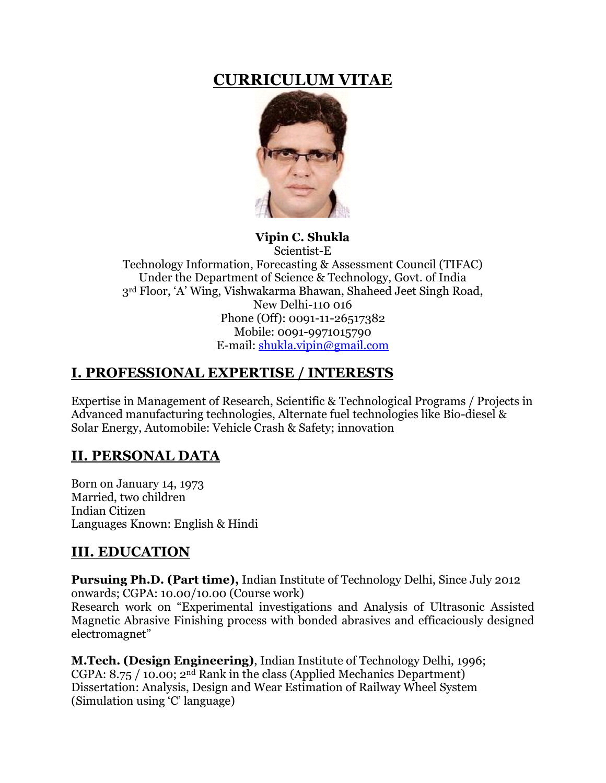# **CURRICULUM VITAE**



**Vipin C. Shukla** Scientist-E Technology Information, Forecasting & Assessment Council (TIFAC) Under the Department of Science & Technology, Govt. of India 3rd Floor, 'A' Wing, Vishwakarma Bhawan, Shaheed Jeet Singh Road,

> New Delhi-110 016 Phone (Off): 0091-11-26517382 Mobile: 0091-9971015790 E-mail: [shukla.vipin@gmail.com](mailto:tripathi@buffalo.edu)

# **I. PROFESSIONAL EXPERTISE / INTERESTS**

Expertise in Management of Research, Scientific & Technological Programs / Projects in Advanced manufacturing technologies, Alternate fuel technologies like Bio-diesel & Solar Energy, Automobile: Vehicle Crash & Safety; innovation

# **II. PERSONAL DATA**

Born on January 14, 1973 Married, two children Indian Citizen Languages Known: English & Hindi

## **III. EDUCATION**

**Pursuing Ph.D. (Part time),** Indian Institute of Technology Delhi, Since July 2012 onwards; CGPA: 10.00/10.00 (Course work)

Research work on "Experimental investigations and Analysis of Ultrasonic Assisted Magnetic Abrasive Finishing process with bonded abrasives and efficaciously designed electromagnet"

**M.Tech. (Design Engineering)**, Indian Institute of Technology Delhi, 1996; CGPA: 8.75 / 10.00; 2nd Rank in the class (Applied Mechanics Department) Dissertation: Analysis, Design and Wear Estimation of Railway Wheel System (Simulation using 'C' language)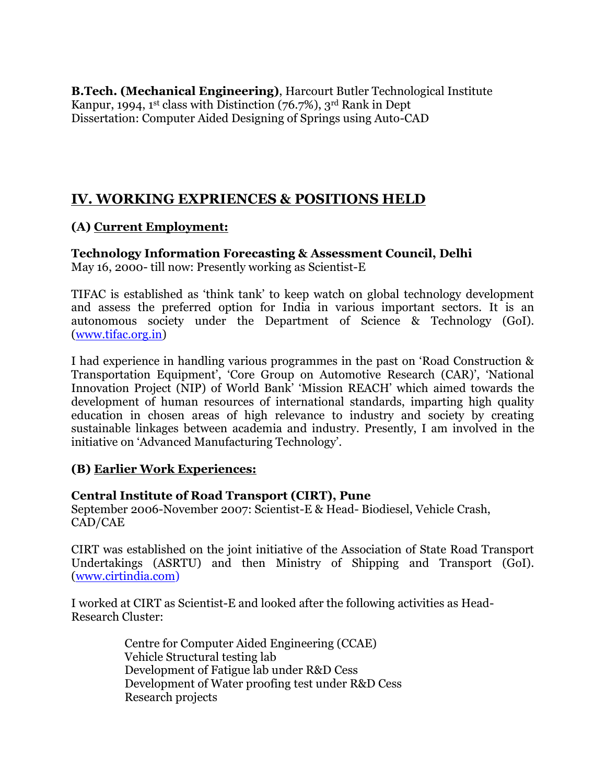**B.Tech. (Mechanical Engineering)**, Harcourt Butler Technological Institute Kanpur, 1994, 1<sup>st</sup> class with Distinction  $(76.7\%)$ , 3<sup>rd</sup> Rank in Dept Dissertation: Computer Aided Designing of Springs using Auto-CAD

## **IV. WORKING EXPRIENCES & POSITIONS HELD**

### **(A) Current Employment:**

**Technology Information Forecasting & Assessment Council, Delhi** May 16, 2000- till now: Presently working as Scientist-E

TIFAC is established as 'think tank' to keep watch on global technology development and assess the preferred option for India in various important sectors. It is an autonomous society under the Department of Science & Technology (GoI). [\(www.tifac.org.in\)](http://www.tifac.org.in/)

I had experience in handling various programmes in the past on 'Road Construction & Transportation Equipment', 'Core Group on Automotive Research (CAR)', 'National Innovation Project (NIP) of World Bank' 'Mission REACH' which aimed towards the development of human resources of international standards, imparting high quality education in chosen areas of high relevance to industry and society by creating sustainable linkages between academia and industry. Presently, I am involved in the initiative on 'Advanced Manufacturing Technology'.

### **(B) Earlier Work Experiences:**

### **Central Institute of Road Transport (CIRT), Pune**

September 2006-November 2007: Scientist-E & Head- Biodiesel, Vehicle Crash, CAD/CAE

CIRT was established on the joint initiative of the Association of State Road Transport Undertakings (ASRTU) and then Ministry of Shipping and Transport (GoI). [\(www.cirtindia.com\)](http://www.cirtindia.com/)

I worked at CIRT as Scientist-E and looked after the following activities as Head-Research Cluster:

> Centre for Computer Aided Engineering (CCAE) Vehicle Structural testing lab Development of Fatigue lab under R&D Cess Development of Water proofing test under R&D Cess Research projects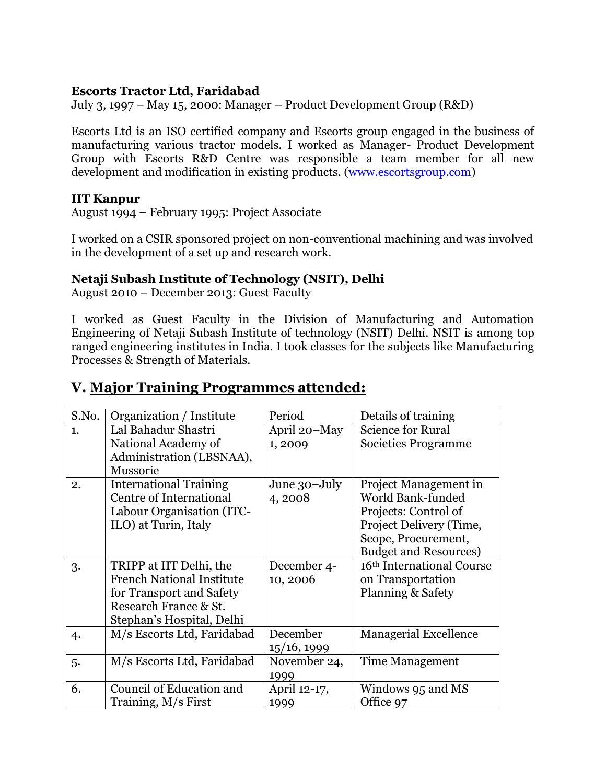### **Escorts Tractor Ltd, Faridabad**

July 3, 1997 – May 15, 2000: Manager – Product Development Group (R&D)

Escorts Ltd is an ISO certified company and Escorts group engaged in the business of manufacturing various tractor models. I worked as Manager- Product Development Group with Escorts R&D Centre was responsible a team member for all new development and modification in existing products. [\(www.escortsgroup.com\)](http://www.escortsgroup.com/)

### **IIT Kanpur**

August 1994 – February 1995: Project Associate

I worked on a CSIR sponsored project on non-conventional machining and was involved in the development of a set up and research work.

### **Netaji Subash Institute of Technology (NSIT), Delhi**

August 2010 – December 2013: Guest Faculty

I worked as Guest Faculty in the Division of Manufacturing and Automation Engineering of Netaji Subash Institute of technology (NSIT) Delhi. NSIT is among top ranged engineering institutes in India. I took classes for the subjects like Manufacturing Processes & Strength of Materials.

# **V. Major Training Programmes attended:**

| S.No. | Organization / Institute         | Period       | Details of training          |
|-------|----------------------------------|--------------|------------------------------|
| 1.    | Lal Bahadur Shastri              | April 20-May | <b>Science for Rural</b>     |
|       | National Academy of              | 1,2009       | Societies Programme          |
|       | Administration (LBSNAA),         |              |                              |
|       | Mussorie                         |              |                              |
| 2.    | <b>International Training</b>    | June 30-July | Project Management in        |
|       | Centre of International          | 4,2008       | World Bank-funded            |
|       | Labour Organisation (ITC-        |              | Projects: Control of         |
|       | ILO) at Turin, Italy             |              | Project Delivery (Time,      |
|       |                                  |              | Scope, Procurement,          |
|       |                                  |              | <b>Budget and Resources)</b> |
| 3.    | TRIPP at IIT Delhi, the          | December 4-  | 16th International Course    |
|       | <b>French National Institute</b> | 10,2006      | on Transportation            |
|       | for Transport and Safety         |              | Planning & Safety            |
|       | Research France & St.            |              |                              |
|       | Stephan's Hospital, Delhi        |              |                              |
| 4.    | M/s Escorts Ltd, Faridabad       | December     | <b>Managerial Excellence</b> |
|       |                                  | 15/16, 1999  |                              |
| 5.    | M/s Escorts Ltd, Faridabad       | November 24, | Time Management              |
|       |                                  | 1999         |                              |
| 6.    | Council of Education and         | April 12-17, | Windows 95 and MS            |
|       | Training, M/s First              | 1999         | Office 97                    |